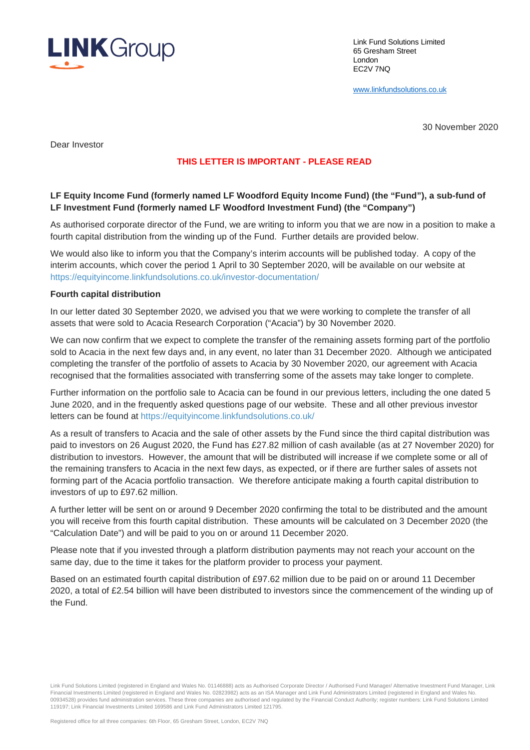

Link Fund Solutions Limited 65 Gresham Street London EC2V 7NQ

[www.linkfundsolutions.co.uk](http://www.linkfundsolutions.co.uk/)

30 November 2020

Dear Investor

# **THIS LETTER IS IMPORTANT - PLEASE READ**

## **LF Equity Income Fund (formerly named LF Woodford Equity Income Fund) (the "Fund"), a sub-fund of LF Investment Fund (formerly named LF Woodford Investment Fund) (the "Company")**

As authorised corporate director of the Fund, we are writing to inform you that we are now in a position to make a fourth capital distribution from the winding up of the Fund. Further details are provided below.

We would also like to inform you that the Company's interim accounts will be published today. A copy of the interim accounts, which cover the period 1 April to 30 September 2020, will be available on our website at <https://equityincome.linkfundsolutions.co.uk/investor-documentation/>

#### **Fourth capital distribution**

In our letter dated 30 September 2020, we advised you that we were working to complete the transfer of all assets that were sold to Acacia Research Corporation ("Acacia") by 30 November 2020.

We can now confirm that we expect to complete the transfer of the remaining assets forming part of the portfolio sold to Acacia in the next few days and, in any event, no later than 31 December 2020. Although we anticipated completing the transfer of the portfolio of assets to Acacia by 30 November 2020, our agreement with Acacia recognised that the formalities associated with transferring some of the assets may take longer to complete.

Further information on the portfolio sale to Acacia can be found in our previous letters, including the one dated 5 June 2020, and in the frequently asked questions page of our website. These and all other previous investor letters can be found at<https://equityincome.linkfundsolutions.co.uk/>

As a result of transfers to Acacia and the sale of other assets by the Fund since the third capital distribution was paid to investors on 26 August 2020, the Fund has £27.82 million of cash available (as at 27 November 2020) for distribution to investors. However, the amount that will be distributed will increase if we complete some or all of the remaining transfers to Acacia in the next few days, as expected, or if there are further sales of assets not forming part of the Acacia portfolio transaction. We therefore anticipate making a fourth capital distribution to investors of up to £97.62 million.

A further letter will be sent on or around 9 December 2020 confirming the total to be distributed and the amount you will receive from this fourth capital distribution. These amounts will be calculated on 3 December 2020 (the "Calculation Date") and will be paid to you on or around 11 December 2020.

Please note that if you invested through a platform distribution payments may not reach your account on the same day, due to the time it takes for the platform provider to process your payment.

Based on an estimated fourth capital distribution of £97.62 million due to be paid on or around 11 December 2020, a total of £2.54 billion will have been distributed to investors since the commencement of the winding up of the Fund.

Link Fund Solutions Limited (registered in England and Wales No. 01146888) acts as Authorised Corporate Director / Authorised Fund Manager/ Alternative Investment Fund Manager, Link Financial Investments Limited (registered in England and Wales No. 02823982) acts as an ISA Manager and Link Fund Administrators Limited (registered in England and Wales No. 00934528) provides fund administration services. These three companies are authorised and regulated by the Financial Conduct Authority; register numbers: Link Fund Solutions Limited 119197; Link Financial Investments Limited 169586 and Link Fund Administrators Limited 121795.